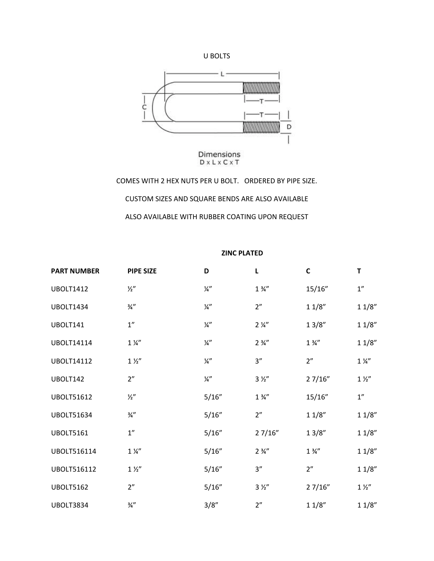



COMES WITH 2 HEX NUTS PER U BOLT. ORDERED BY PIPE SIZE. CUSTOM SIZES AND SQUARE BENDS ARE ALSO AVAILABLE ALSO AVAILABLE WITH RUBBER COATING UPON REQUEST

## **ZINC PLATED**

| <b>PART NUMBER</b> | <b>PIPE SIZE</b>   | D             | L                | C                | т                  |
|--------------------|--------------------|---------------|------------------|------------------|--------------------|
| <b>UBOLT1412</b>   | $\frac{1}{2}$      | $\frac{1}{4}$ | $1\frac{3}{4}$   | 15/16"           | $1^{\prime\prime}$ |
| <b>UBOLT1434</b>   | $\frac{3}{4}$ "    | $\frac{1}{4}$ | 2"               | 11/8"            | 11/8"              |
| UBOLT141           | $1^{\prime\prime}$ | $\frac{1}{4}$ | $2\frac{1}{4}$   | 13/8"            | 11/8"              |
| <b>UBOLT14114</b>  | $1\frac{1}{4}$     | $\frac{1}{4}$ | $2\frac{3}{4}$ " | $1\frac{3}{4}$ " | 11/8"              |
| <b>UBOLT14112</b>  | 1 <i>Y</i>         | $\frac{1}{4}$ | 3''              | 2"               | $1\frac{1}{4}$     |
| UBOLT142           | 2"                 | $\frac{1}{4}$ | 3 <i>1</i>       | 27/16"           | $1\frac{1}{2}$     |
| <b>UBOLT51612</b>  | $\frac{1}{2}$      | 5/16"         | $1\frac{3}{4}$   | 15/16"           | 1''                |
| <b>UBOLT51634</b>  | $\frac{3}{4}$ "    | 5/16"         | 2"               | 11/8"            | 11/8"              |
| <b>UBOLT5161</b>   | 1"                 | 5/16"         | 27/16"           | 13/8"            | 11/8"              |
| UBOLT516114        | $1\frac{1}{4}$     | 5/16"         | $2\frac{3}{4}$ " | $1\frac{3}{4}$   | 11/8"              |
| <b>UBOLT516112</b> | $1\,\mathrm{\%}''$ | 5/16"         | 3''              | 2"               | 11/8"              |
| <b>UBOLT5162</b>   | 2"                 | 5/16"         | 3 <i>%</i>       | 27/16"           | 1 <i>Y</i>         |
| <b>UBOLT3834</b>   | $\frac{3}{4}$ "    | 3/8"          | 2"               | 11/8"            | 11/8"              |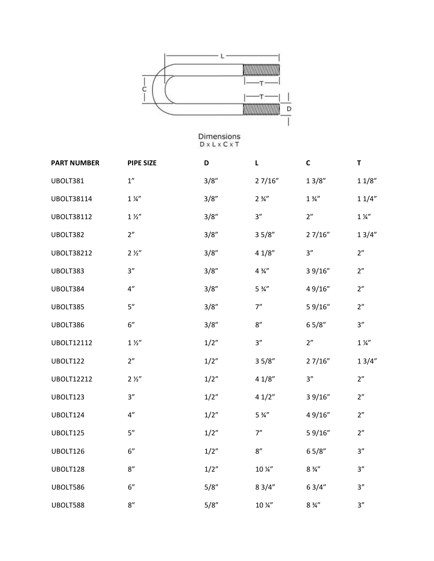

| <b>PART NUMBER</b> | <b>PIPE SIZE</b> | D     | L                  | $\mathsf{C}$     | T              |
|--------------------|------------------|-------|--------------------|------------------|----------------|
| UBOLT381           | 1''              | 3/8"  | 27/16"             | 13/8"            | $1\,1/8''$     |
| <b>UBOLT38114</b>  | $1\frac{1}{4}$   | 3/8'' | $2\frac{3}{4}$ "   | $1\frac{3}{4}$   | 11/4"          |
| <b>UBOLT38112</b>  | $1\frac{1}{2}$   | 3/8'' | 3''                | 2"               | $1\frac{1}{4}$ |
| UBOLT382           | 2"               | 3/8'' | 35/8"              | 27/16"           | 13/4"          |
| <b>UBOLT38212</b>  | 2 <i>Y</i> ''    | 3/8'' | 41/8"              | 3''              | 2 <sup>n</sup> |
| UBOLT383           | 3''              | 3/8'' | $4\frac{3}{4}$ "   | 3 9/16"          | 2"             |
| UBOLT384           | 4"               | 3/8'' | $5\frac{3}{4}$ "   | 49/16"           | 2"             |
| UBOLT385           | 5''              | 3/8"  | 7"                 | 59/16"           | 2 <sup>n</sup> |
| UBOLT386           | 6"               | 3/8"  | $8^{\prime\prime}$ | 65/8"            | 3''            |
| <b>UBOLT12112</b>  | $1\frac{1}{2}$   | 1/2"  | 3''                | 2"               | $1\frac{1}{4}$ |
| UBOLT122           | 2"               | 1/2"  | 35/8"              | 27/16"           | 13/4"          |
| <b>UBOLT12212</b>  | 2 <i>1</i>       | 1/2"  | 41/8"              | 3''              | 2 <sup>n</sup> |
| UBOLT123           | 3''              | 1/2"  | 41/2"              | 3 9/16"          | 2"             |
| UBOLT124           | 4"               | 1/2"  | $5\frac{3}{4}$ "   | 49/16"           | 2"             |
| UBOLT125           | 5''              | 1/2"  | 7''                | 59/16"           | 2"             |
| UBOLT126           | 6"               | 1/2"  | $8^{\prime\prime}$ | 65/8"            | 3"             |
| UBOLT128           | 8''              | 1/2"  | 10 %"              | $8\frac{3}{4}$ " | 3"             |
| UBOLT586           | 6"               | 5/8"  | 83/4"              | 63/4"            | 3"             |
| UBOLT588           | 8''              | 5/8'' | 10 %"              | $8\frac{3}{4}$ " | 3''            |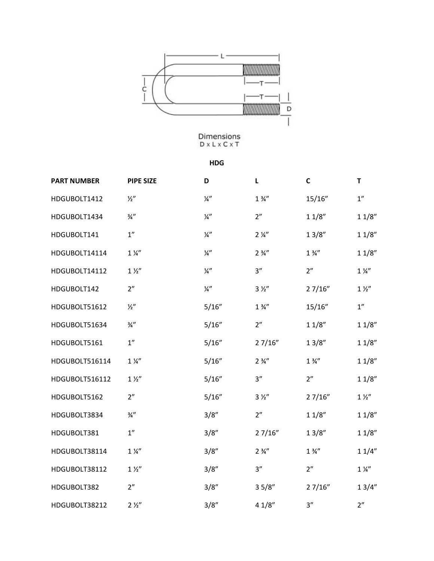

**HDG**

| <b>PART NUMBER</b> | <b>PIPE SIZE</b>               | D             | L                | $\mathbf C$    | T              |
|--------------------|--------------------------------|---------------|------------------|----------------|----------------|
| HDGUBOLT1412       | $\frac{1}{2}$                  | $\frac{1}{4}$ | $1\frac{3}{4}$   | 15/16"         | 1"             |
| HDGUBOLT1434       | $\frac{3}{4}$ "                | $\frac{1}{4}$ | 2"               | 11/8"          | 11/8"          |
| HDGUBOLT141        | $1^{\prime\prime}$             | $\frac{1}{4}$ | $2\frac{1}{4}$   | 13/8"          | 11/8"          |
| HDGUBOLT14114      | $1\,\mathrm{W}^{\prime\prime}$ | $\frac{1}{4}$ | $2\frac{3}{4}$ " | $1\frac{3}{4}$ | 11/8"          |
| HDGUBOLT14112      | $1\frac{1}{2}$                 | $\frac{1}{4}$ | 3''              | 2"             | $1\frac{1}{4}$ |
| HDGUBOLT142        | 2"                             | $\frac{1}{4}$ | 3 <i>%</i>       | 27/16"         | $1\frac{1}{2}$ |
| HDGUBOLT51612      | $\frac{1}{2}$                  | 5/16"         | $1\frac{3}{4}$   | 15/16"         | 1''            |
| HDGUBOLT51634      | $\frac{3}{4}$ "                | 5/16"         | 2"               | 11/8"          | 11/8"          |
| HDGUBOLT5161       | 1''                            | 5/16"         | 27/16"           | 13/8"          | 11/8"          |
| HDGUBOLT516114     | $1\frac{1}{4}$                 | 5/16"         | $2\frac{3}{4}$ " | $1\frac{3}{4}$ | 11/8"          |
| HDGUBOLT516112     | $1\frac{1}{2}$                 | 5/16"         | 3"               | 2"             | 11/8"          |
| HDGUBOLT5162       | 2"                             | 5/16"         | 3 <i>%</i>       | 27/16"         | $1\frac{1}{2}$ |
| HDGUBOLT3834       | $\frac{3}{4}$ "                | 3/8''         | 2"               | 11/8"          | 11/8"          |
| HDGUBOLT381        | $1^{\prime\prime}$             | 3/8"          | 27/16"           | 13/8"          | 11/8"          |
| HDGUBOLT38114      | $1\frac{1}{4}$                 | 3/8"          | $2\frac{3}{4}$ " | $1\frac{3}{4}$ | 11/4"          |
| HDGUBOLT38112      | 1 <i>''</i>                    | 3/8''         | 3''              | 2"             | $1\frac{1}{4}$ |
| HDGUBOLT382        | 2"                             | 3/8"          | 35/8"            | 27/16"         | 13/4"          |
| HDGUBOLT38212      | 2 <i>Y</i> ''                  | 3/8''         | 41/8"            | 3"             | 2"             |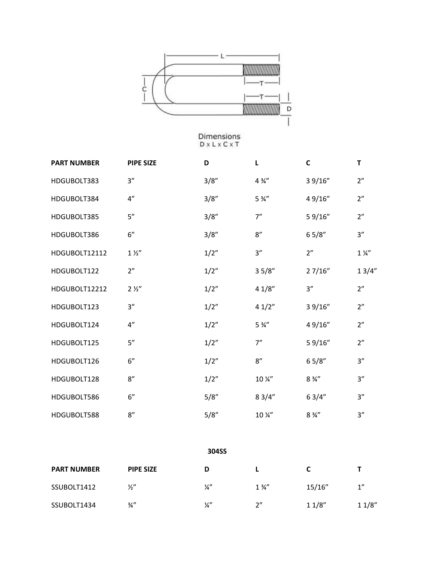

| <b>PART NUMBER</b> | <b>PIPE SIZE</b> | D    | L                           | $\mathbf c$      | T              |
|--------------------|------------------|------|-----------------------------|------------------|----------------|
| HDGUBOLT383        | 3''              | 3/8" | $4\frac{3}{4}$              | 3 9/16"          | 2"             |
| HDGUBOLT384        | 4''              | 3/8" | $5\frac{3}{4}$ "            | 49/16"           | 2"             |
| HDGUBOLT385        | 5''              | 3/8" | 7"                          | 59/16"           | 2"             |
| HDGUBOLT386        | 6"               | 3/8" | 8''                         | 65/8"            | 3''            |
| HDGUBOLT12112      | 1 <i>Y</i>       | 1/2" | 3''                         | 2"               | $1\frac{1}{4}$ |
| HDGUBOLT122        | 2"               | 1/2" | 35/8"                       | 27/16"           | 13/4"          |
| HDGUBOLT12212      | 2 <i>1</i>       | 1/2" | 41/8"                       | 3''              | 2"             |
| HDGUBOLT123        | 3''              | 1/2" | 41/2"                       | 39/16"           | 2"             |
| HDGUBOLT124        | 4''              | 1/2" | $5\frac{3}{4}$ "            | 49/16"           | 2"             |
| HDGUBOLT125        | 5''              | 1/2" | 7''                         | 59/16"           | 2"             |
| HDGUBOLT126        | 6"               | 1/2" | 8''                         | 65/8"            | 3''            |
| HDGUBOLT128        | 8''              | 1/2" | 10 %"                       | $8\frac{3}{4}$ " | 3''            |
| HDGUBOLT586        | 6"               | 5/8" | 83/4"                       | 63/4"            | 3''            |
| HDGUBOLT588        | 8''              | 5/8" | $10\,\frac{\cancel{10}}{4}$ | $8\frac{3}{4}$ " | 3''            |
|                    |                  |      |                             |                  |                |

| ×<br>×<br>۰,<br>۹<br>×<br>۹<br>۰. |  |
|-----------------------------------|--|

| <b>PART NUMBER</b> | <b>PIPE SIZE</b> |    |                |        |       |
|--------------------|------------------|----|----------------|--------|-------|
| SSUBOLT1412        | $\frac{1}{2}$    | ¼" | $1\frac{3}{4}$ | 15/16" | 1"    |
| SSUBOLT1434        | ¾"               | ¼" | ን"             | 11/8"  | 11/8" |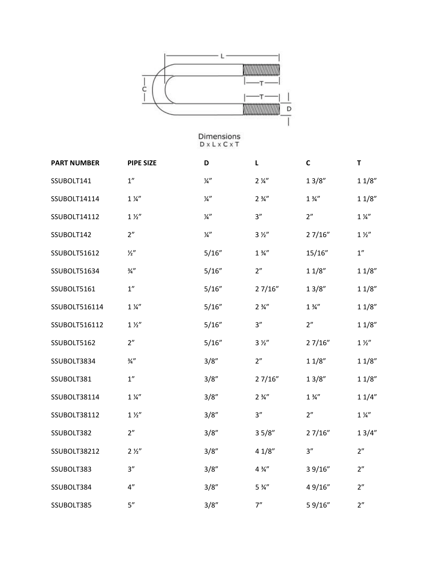

| <b>PART NUMBER</b> | <b>PIPE SIZE</b>   | D             | L                | $\mathsf{C}$     | T              |
|--------------------|--------------------|---------------|------------------|------------------|----------------|
| SSUBOLT141         | 1 <sup>''</sup>    | $\frac{1}{4}$ | $2\frac{1}{4}$   | 13/8"            | 11/8"          |
| SSUBOLT14114       | $1\frac{1}{4}$     | $\frac{1}{4}$ | $2\frac{3}{4}$ " | $1\frac{3}{4}$ " | 11/8"          |
| SSUBOLT14112       | $1\frac{1}{2}$     | $\frac{1}{4}$ | 3''              | 2"               | $1\frac{1}{4}$ |
| SSUBOLT142         | 2"                 | $\frac{1}{4}$ | $3 \frac{1}{2}$  | 27/16"           | 1 <i>Y</i>     |
| SSUBOLT51612       | $\frac{1}{2}$      | 5/16"         | $1\frac{3}{4}$ " | 15/16"           | 1"             |
| SSUBOLT51634       | $\frac{3}{4}$ "    | 5/16"         | 2"               | 11/8"            | 11/8"          |
| SSUBOLT5161        | 1"                 | 5/16"         | 27/16"           | 13/8"            | 11/8"          |
| SSUBOLT516114      | $1\frac{1}{4}$     | 5/16"         | $2\frac{3}{4}$   | $1\frac{3}{4}$   | 11/8"          |
| SSUBOLT516112      | $1\frac{1}{2}$     | 5/16"         | 3''              | 2 <sup>n</sup>   | 11/8"          |
| SSUBOLT5162        | 2"                 | 5/16"         | $3 \frac{1}{2}$  | 27/16"           | 1 <i>Y</i>     |
| SSUBOLT3834        | $\frac{3}{4}$ "    | 3/8"          | 2"               | 11/8"            | 11/8"          |
| SSUBOLT381         | 1 <sup>''</sup>    | 3/8''         | 27/16"           | 13/8"            | 11/8"          |
| SSUBOLT38114       | $1\frac{1}{4}$     | 3/8''         | $2\frac{3}{4}$ " | $1\frac{3}{4}$ " | 11/4"          |
| SSUBOLT38112       | 1 <i>%</i>         | 3/8''         | 3''              | 2 <sup>n</sup>   | $1\frac{1}{4}$ |
| SSUBOLT382         | 2"                 | 3/8"          | 35/8"            | 27/16"           | 13/4"          |
| SSUBOLT38212       | 2 <i>1</i>         | 3/8"          | 41/8"            | 3''              | 2 <sup>n</sup> |
| SSUBOLT383         | 3''                | 3/8"          | $4\frac{3}{4}$ " | 3 9/16"          | 2"             |
| SSUBOLT384         | $4^{\prime\prime}$ | 3/8''         | $5\frac{3}{4}$ " | 49/16"           | 2"             |
| SSUBOLT385         | 5''                | 3/8''         | 7"               | 59/16"           | 2"             |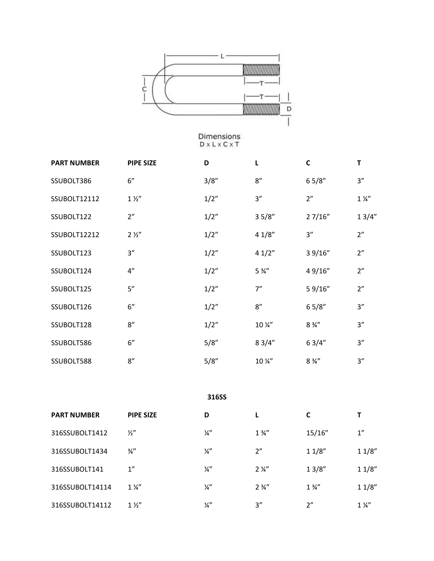

| <b>PART NUMBER</b> | <b>PIPE SIZE</b> | D    | L                  | C                | Т              |
|--------------------|------------------|------|--------------------|------------------|----------------|
| SSUBOLT386         | 6"               | 3/8" | 8''                | 65/8"            | 3''            |
| SSUBOLT12112       | $1\frac{1}{2}$   | 1/2" | 3''                | 2 <sup>n</sup>   | $1\frac{1}{4}$ |
| SSUBOLT122         | 2"               | 1/2" | 35/8"              | 27/16"           | 13/4"          |
| SSUBOLT12212       | 2 <i>1</i>       | 1/2" | 41/8"              | 3''              | 2"             |
| SSUBOLT123         | 3''              | 1/2" | 41/2"              | 39/16"           | 2"             |
| SSUBOLT124         | 4"               | 1/2" | $5\frac{3}{4}$ "   | 49/16"           | 2"             |
| SSUBOLT125         | 5''              | 1/2" | 7"                 | 59/16"           | 2"             |
| SSUBOLT126         | 6"               | 1/2" | $8^{\prime\prime}$ | 65/8"            | 3''            |
| SSUBOLT128         | 8''              | 1/2" | 10 %"              | $8\frac{3}{4}$ " | 3''            |
| SSUBOLT586         | 6"               | 5/8" | 83/4"              | 63/4"            | 3"             |
| SSUBOLT588         | 8''              | 5/8" | 10 %"              | $8\frac{3}{4}$ " | 3''            |

**316SS**

| <b>PART NUMBER</b> | <b>PIPE SIZE</b> | D             |                  |                |                |
|--------------------|------------------|---------------|------------------|----------------|----------------|
| 316SSUBOLT1412     | $\frac{1}{2}$    | ¼"            | $1\frac{3}{4}$   | 15/16"         | 1"             |
| 316SSUBOLT1434     | $\frac{3}{4}$    | ¼"            | 2"               | 11/8"          | 11/8"          |
| 316SSUBOLT141      | 1"               | ¼"            | $2\frac{1}{4}$   | 13/8"          | 11/8"          |
| 316SSUBOLT14114    | $1\frac{1}{4}$   | $\frac{1}{4}$ | $2\frac{3}{4}$ " | $1\frac{3}{4}$ | 11/8"          |
| 316SSUBOLT14112    | $1\frac{1}{2}$   | ¼"            | 3''              | 2"             | $1\frac{1}{4}$ |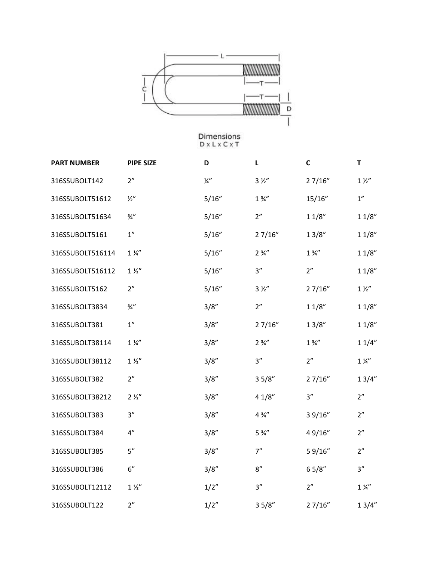

| <b>PART NUMBER</b> | <b>PIPE SIZE</b> | D             | L                | $\mathsf{C}$   | T                  |
|--------------------|------------------|---------------|------------------|----------------|--------------------|
| 316SSUBOLT142      | 2"               | $\frac{1}{4}$ | 3 <i>%</i>       | 27/16"         | $1\,\mathrm{\%}''$ |
| 316SSUBOLT51612    | $\frac{1}{2}$    | 5/16"         | $1\frac{3}{4}$   | 15/16"         | 1"                 |
| 316SSUBOLT51634    | $\frac{3}{4}$ "  | 5/16"         | 2"               | 11/8"          | 11/8"              |
| 316SSUBOLT5161     | 1"               | 5/16"         | 27/16"           | 13/8"          | 11/8"              |
| 316SSUBOLT516114   | $1\frac{1}{4}$   | 5/16"         | $2\frac{3}{4}$ " | $1\frac{3}{4}$ | 11/8"              |
| 316SSUBOLT516112   | $1\frac{1}{2}$   | 5/16"         | 3"               | 2"             | 11/8"              |
| 316SSUBOLT5162     | 2 <sup>n</sup>   | 5/16"         | $3 \frac{1}{2}$  | 27/16"         | $1\frac{1}{2}$     |
| 316SSUBOLT3834     | $\frac{3}{4}$ "  | 3/8"          | 2"               | 11/8"          | 11/8"              |
| 316SSUBOLT381      | 1"               | 3/8"          | 27/16"           | 13/8"          | 11/8"              |
| 316SSUBOLT38114    | $1\frac{1}{4}$   | 3/8"          | $2\frac{3}{4}$ " | $1\frac{3}{4}$ | 11/4"              |
| 316SSUBOLT38112    | $1\frac{1}{2}$   | 3/8"          | 3''              | 2"             | $1\frac{1}{4}$     |
| 316SSUBOLT382      | 2 <sup>n</sup>   | 3/8''         | 35/8"            | 27/16"         | 13/4"              |
| 316SSUBOLT38212    | 2 <i>1</i>       | 3/8''         | 41/8"            | 3"             | 2"                 |
| 316SSUBOLT383      | 3''              | 3/8"          | $4\frac{3}{4}$   | 3 9/16"        | 2"                 |
| 316SSUBOLT384      | 4''              | 3/8''         | $5\frac{3}{4}$ " | 49/16"         | 2"                 |
| 316SSUBOLT385      | 5''              | 3/8"          | 7"               | 59/16"         | 2"                 |
| 316SSUBOLT386      | 6"               | 3/8"          | 8''              | 65/8"          | 3"                 |
| 316SSUBOLT12112    | 1 <i>%</i>       | 1/2"          | 3"               | 2 <sup>n</sup> | $1\frac{1}{4}$     |
| 316SSUBOLT122      | 2"               | 1/2"          | 35/8"            | 27/16"         | 13/4"              |